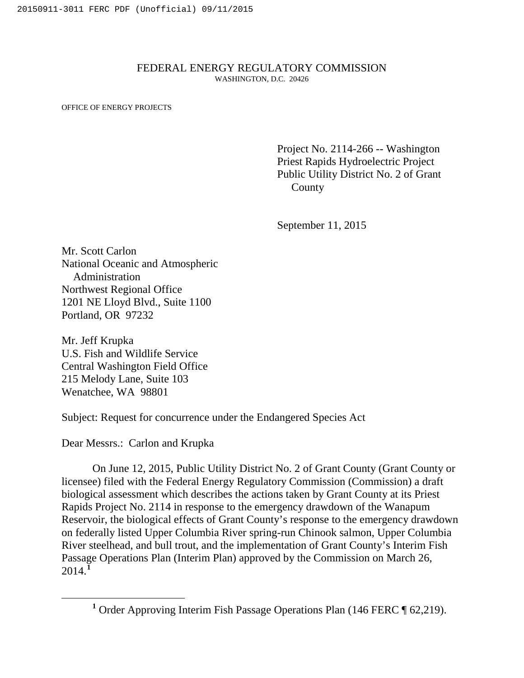## FEDERAL ENERGY REGULATORY COMMISSION WASHINGTON, D.C. 20426

OFFICE OF ENERGY PROJECTS

Project No. 2114-266 -- Washington Priest Rapids Hydroelectric Project Public Utility District No. 2 of Grant County

September 11, 2015

Mr. Scott Carlon National Oceanic and Atmospheric Administration Northwest Regional Office 1201 NE Lloyd Blvd., Suite 1100 Portland, OR 97232

Mr. Jeff Krupka U.S. Fish and Wildlife Service Central Washington Field Office 215 Melody Lane, Suite 103 Wenatchee, WA 98801

Subject: Request for concurrence under the Endangered Species Act

Dear Messrs.: Carlon and Krupka

On June 12, 2015, Public Utility District No. 2 of Grant County (Grant County or licensee) filed with the Federal Energy Regulatory Commission (Commission) a draft biological assessment which describes the actions taken by Grant County at its Priest Rapids Project No. 2114 in response to the emergency drawdown of the Wanapum Reservoir, the biological effects of Grant County's response to the emergency drawdown on federally listed Upper Columbia River spring-run Chinook salmon, Upper Columbia River steelhead, and bull trout, and the implementation of Grant County's Interim Fish Passage Operations Plan (Interim Plan) approved by the Commission on March 26, 2014. **[1](#page-0-0)**

<span id="page-0-0"></span>**<sup>1</sup>** Order Approving Interim Fish Passage Operations Plan (146 FERC ¶ 62,219).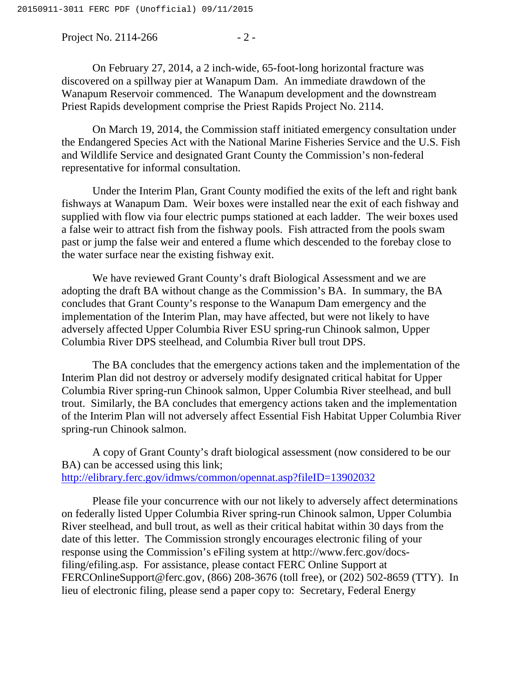Project No. 2114-266 - 2 -

On February 27, 2014, a 2 inch-wide, 65-foot-long horizontal fracture was discovered on a spillway pier at Wanapum Dam. An immediate drawdown of the Wanapum Reservoir commenced. The Wanapum development and the downstream Priest Rapids development comprise the Priest Rapids Project No. 2114.

On March 19, 2014, the Commission staff initiated emergency consultation under the Endangered Species Act with the National Marine Fisheries Service and the U.S. Fish and Wildlife Service and designated Grant County the Commission's non-federal representative for informal consultation.

Under the Interim Plan, Grant County modified the exits of the left and right bank fishways at Wanapum Dam. Weir boxes were installed near the exit of each fishway and supplied with flow via four electric pumps stationed at each ladder. The weir boxes used a false weir to attract fish from the fishway pools. Fish attracted from the pools swam past or jump the false weir and entered a flume which descended to the forebay close to the water surface near the existing fishway exit.

We have reviewed Grant County's draft Biological Assessment and we are adopting the draft BA without change as the Commission's BA. In summary, the BA concludes that Grant County's response to the Wanapum Dam emergency and the implementation of the Interim Plan, may have affected, but were not likely to have adversely affected Upper Columbia River ESU spring-run Chinook salmon, Upper Columbia River DPS steelhead, and Columbia River bull trout DPS.

The BA concludes that the emergency actions taken and the implementation of the Interim Plan did not destroy or adversely modify designated critical habitat for Upper Columbia River spring-run Chinook salmon, Upper Columbia River steelhead, and bull trout. Similarly, the BA concludes that emergency actions taken and the implementation of the Interim Plan will not adversely affect Essential Fish Habitat Upper Columbia River spring-run Chinook salmon.

A copy of Grant County's draft biological assessment (now considered to be our BA) can be accessed using this link; <http://elibrary.ferc.gov/idmws/common/opennat.asp?fileID=13902032>

Please file your concurrence with our not likely to adversely affect determinations on federally listed Upper Columbia River spring-run Chinook salmon, Upper Columbia River steelhead, and bull trout, as well as their critical habitat within 30 days from the date of this letter. The Commission strongly encourages electronic filing of your response using the Commission's eFiling system at http://www.ferc.gov/docsfiling/efiling.asp. For assistance, please contact FERC Online Support at FERCOnlineSupport@ferc.gov, (866) 208-3676 (toll free), or (202) 502-8659 (TTY). In lieu of electronic filing, please send a paper copy to: Secretary, Federal Energy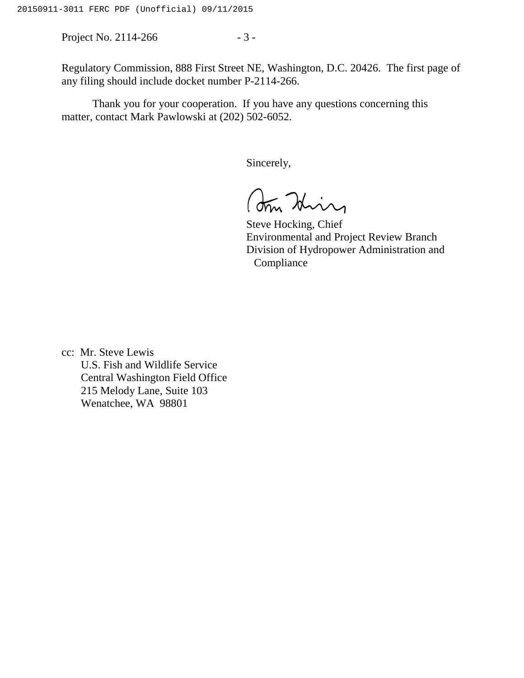Project No. 2114-266 - 3 -

Regulatory Commission, 888 First Street NE, Washington, D.C. 20426. The first page of any filing should include docket number P-2114-266.

Thank you for your cooperation. If you have any questions concerning this matter, contact Mark Pawlowski at (202) 502-6052.

Sincerely,

Am Hin

Steve Hocking, Chief Environmental and Project Review Branch Division of Hydropower Administration and Compliance

cc: Mr. Steve Lewis U.S. Fish and Wildlife Service Central Washington Field Office 215 Melody Lane, Suite 103 Wenatchee, WA 98801